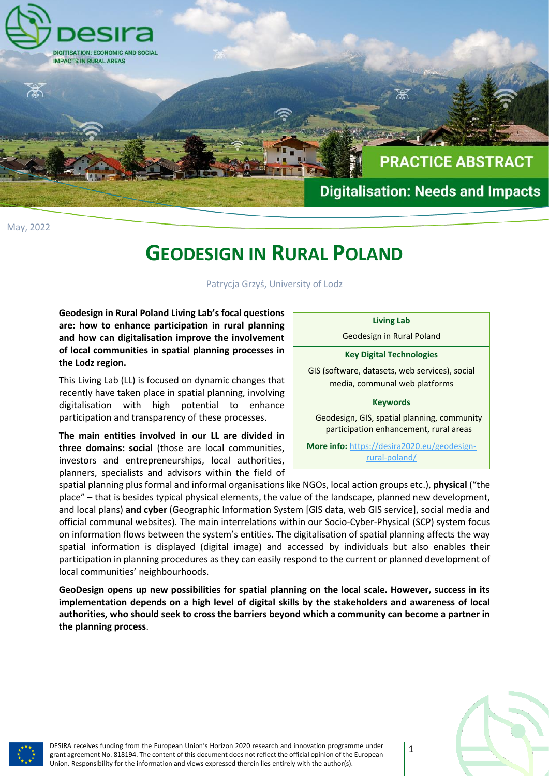

May, 2022

## **GEODESIGN IN RURAL POLAND**

Patrycja Grzyś, University of Lodz

**Geodesign in Rural Poland Living Lab's focal questions are: how to enhance participation in rural planning and how can digitalisation improve the involvement of local communities in spatial planning processes in the Lodz region.**

This Living Lab (LL) is focused on dynamic changes that recently have taken place in spatial planning, involving digitalisation with high potential to enhance participation and transparency of these processes.

**The main entities involved in our LL are divided in three domains: social** (those are local communities, investors and entrepreneurships, local authorities, planners, specialists and advisors within the field of

| <b>Living Lab</b>                                                                     |
|---------------------------------------------------------------------------------------|
| Geodesign in Rural Poland                                                             |
| <b>Key Digital Technologies</b>                                                       |
| GIS (software, datasets, web services), social<br>media, communal web platforms       |
| <b>Keywords</b>                                                                       |
| Geodesign, GIS, spatial planning, community<br>participation enhancement, rural areas |
| <b>More info:</b> https://desira2020.eu/geodesign-<br>rural-poland/                   |

spatial planning plus formal and informal organisations like NGOs, local action groups etc.), **physical** ("the place" – that is besides typical physical elements, the value of the landscape, planned new development, and local plans) **and cyber** (Geographic Information System [GIS data, web GIS service], social media and official communal websites). The main interrelations within our Socio-Cyber-Physical (SCP) system focus on information flows between the system's entities. The digitalisation of spatial planning affects the way spatial information is displayed (digital image) and accessed by individuals but also enables their participation in planning procedures as they can easily respond to the current or planned development of local communities' neighbourhoods.

**GeoDesign opens up new possibilities for spatial planning on the local scale. However, success in its implementation depends on a high level of digital skills by the stakeholders and awareness of local authorities, who should seek to cross the barriers beyond which a community can become a partner in the planning process**.



DESIRA receives funding from the European Union's Horizon 2020 research and innovation programme under grant agreement No. 818194. The content of this document does not reflect the official opinion of the European Union. Responsibility for the information and views expressed therein lies entirely with the author(s).